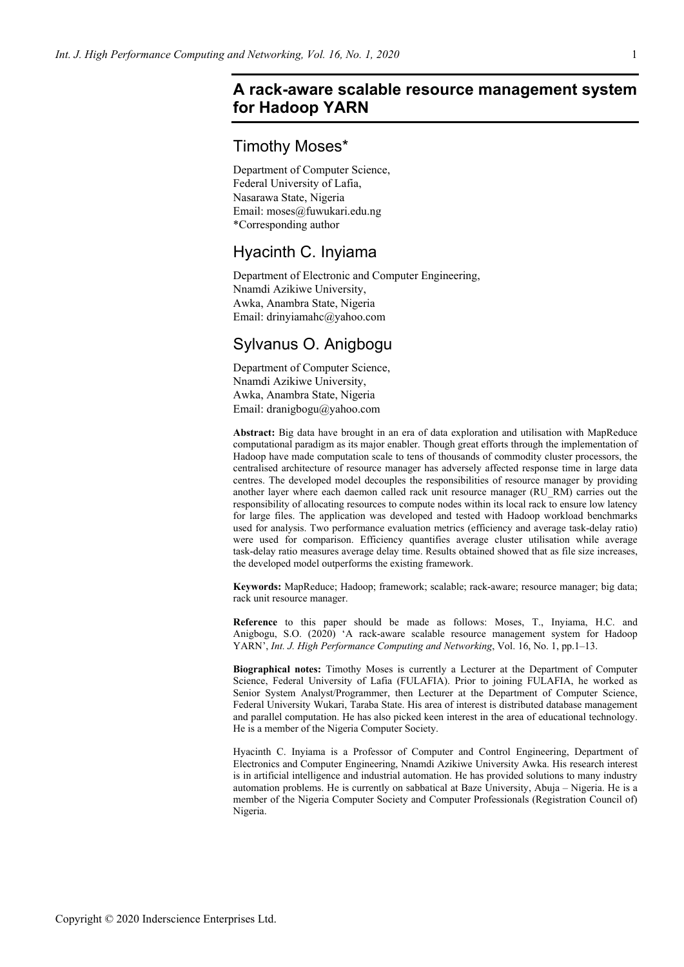# **A rack-aware scalable resource management system for Hadoop YARN**

# Timothy Moses\*

Department of Computer Science, Federal University of Lafia, Nasarawa State, Nigeria Email: moses@fuwukari.edu.ng \*Corresponding author

# Hyacinth C. Inyiama

Department of Electronic and Computer Engineering, Nnamdi Azikiwe University, Awka, Anambra State, Nigeria Email: drinyiamahc@yahoo.com

# Sylvanus O. Anigbogu

Department of Computer Science, Nnamdi Azikiwe University, Awka, Anambra State, Nigeria Email: dranigbogu@yahoo.com

**Abstract:** Big data have brought in an era of data exploration and utilisation with MapReduce computational paradigm as its major enabler. Though great efforts through the implementation of Hadoop have made computation scale to tens of thousands of commodity cluster processors, the centralised architecture of resource manager has adversely affected response time in large data centres. The developed model decouples the responsibilities of resource manager by providing another layer where each daemon called rack unit resource manager (RU\_RM) carries out the responsibility of allocating resources to compute nodes within its local rack to ensure low latency for large files. The application was developed and tested with Hadoop workload benchmarks used for analysis. Two performance evaluation metrics (efficiency and average task-delay ratio) were used for comparison. Efficiency quantifies average cluster utilisation while average task-delay ratio measures average delay time. Results obtained showed that as file size increases, the developed model outperforms the existing framework.

**Keywords:** MapReduce; Hadoop; framework; scalable; rack-aware; resource manager; big data; rack unit resource manager.

**Reference** to this paper should be made as follows: Moses, T., Inyiama, H.C. and Anigbogu, S.O. (2020) 'A rack-aware scalable resource management system for Hadoop YARN', *Int. J. High Performance Computing and Networking*, Vol. 16, No. 1, pp.1–13.

**Biographical notes:** Timothy Moses is currently a Lecturer at the Department of Computer Science, Federal University of Lafia (FULAFIA). Prior to joining FULAFIA, he worked as Senior System Analyst/Programmer, then Lecturer at the Department of Computer Science, Federal University Wukari, Taraba State. His area of interest is distributed database management and parallel computation. He has also picked keen interest in the area of educational technology. He is a member of the Nigeria Computer Society.

Hyacinth C. Inyiama is a Professor of Computer and Control Engineering, Department of Electronics and Computer Engineering, Nnamdi Azikiwe University Awka. His research interest is in artificial intelligence and industrial automation. He has provided solutions to many industry automation problems. He is currently on sabbatical at Baze University, Abuja – Nigeria. He is a member of the Nigeria Computer Society and Computer Professionals (Registration Council of) Nigeria.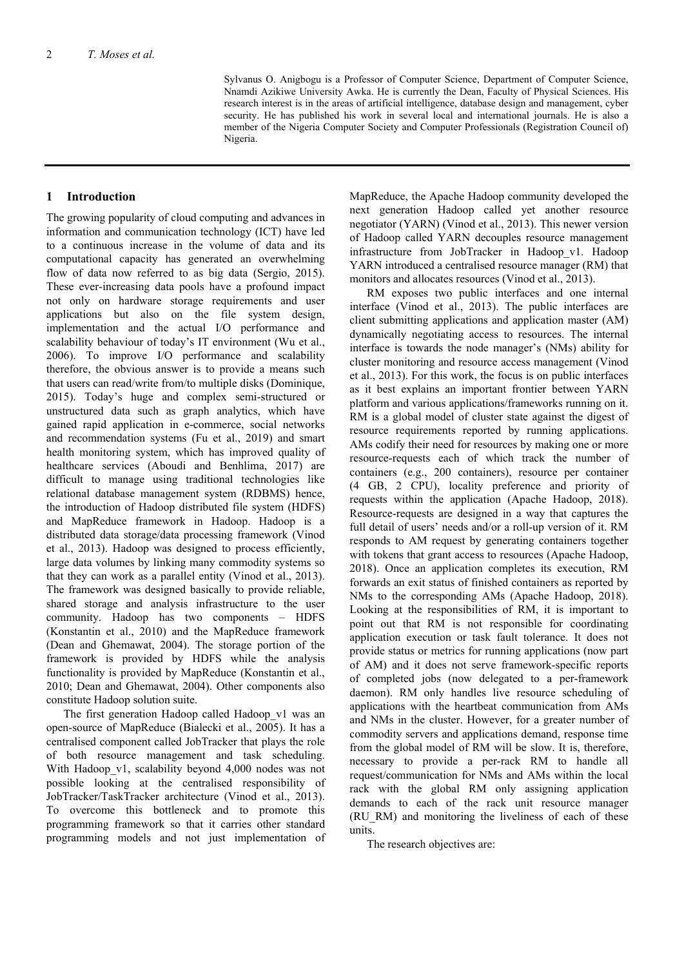Sylvanus O. Anigbogu is a Professor of Computer Science, Department of Computer Science, Nnamdi Azikiwe University Awka. He is currently the Dean, Faculty of Physical Sciences. His research interest is in the areas of artificial intelligence, database design and management, cyber security. He has published his work in several local and international journals. He is also a member of the Nigeria Computer Society and Computer Professionals (Registration Council of) Nigeria.

# **1 Introduction**

The growing popularity of cloud computing and advances in information and communication technology (ICT) have led to a continuous increase in the volume of data and its computational capacity has generated an overwhelming flow of data now referred to as big data (Sergio, 2015). These ever-increasing data pools have a profound impact not only on hardware storage requirements and user applications but also on the file system design, implementation and the actual I/O performance and scalability behaviour of today's IT environment (Wu et al., 2006). To improve I/O performance and scalability therefore, the obvious answer is to provide a means such that users can read/write from/to multiple disks (Dominique, 2015). Today's huge and complex semi-structured or unstructured data such as graph analytics, which have gained rapid application in e-commerce, social networks and recommendation systems (Fu et al., 2019) and smart health monitoring system, which has improved quality of healthcare services (Aboudi and Benhlima, 2017) are difficult to manage using traditional technologies like relational database management system (RDBMS) hence, the introduction of Hadoop distributed file system (HDFS) and MapReduce framework in Hadoop. Hadoop is a distributed data storage/data processing framework (Vinod et al., 2013). Hadoop was designed to process efficiently, large data volumes by linking many commodity systems so that they can work as a parallel entity (Vinod et al., 2013). The framework was designed basically to provide reliable, shared storage and analysis infrastructure to the user community. Hadoop has two components – HDFS (Konstantin et al., 2010) and the MapReduce framework (Dean and Ghemawat, 2004). The storage portion of the framework is provided by HDFS while the analysis functionality is provided by MapReduce (Konstantin et al., 2010; Dean and Ghemawat, 2004). Other components also constitute Hadoop solution suite.

The first generation Hadoop called Hadoop\_v1 was an open-source of MapReduce (Bialecki et al., 2005). It has a centralised component called JobTracker that plays the role of both resource management and task scheduling. With Hadoop v1, scalability beyond 4,000 nodes was not possible looking at the centralised responsibility of JobTracker/TaskTracker architecture (Vinod et al., 2013). To overcome this bottleneck and to promote this programming framework so that it carries other standard programming models and not just implementation of MapReduce, the Apache Hadoop community developed the next generation Hadoop called yet another resource negotiator (YARN) (Vinod et al., 2013). This newer version of Hadoop called YARN decouples resource management infrastructure from JobTracker in Hadoop\_v1. Hadoop YARN introduced a centralised resource manager (RM) that monitors and allocates resources (Vinod et al., 2013).

RM exposes two public interfaces and one internal interface (Vinod et al., 2013). The public interfaces are client submitting applications and application master (AM) dynamically negotiating access to resources. The internal interface is towards the node manager's (NMs) ability for cluster monitoring and resource access management (Vinod et al., 2013). For this work, the focus is on public interfaces as it best explains an important frontier between YARN platform and various applications/frameworks running on it. RM is a global model of cluster state against the digest of resource requirements reported by running applications. AMs codify their need for resources by making one or more resource-requests each of which track the number of containers (e.g., 200 containers), resource per container (4 GB, 2 CPU), locality preference and priority of requests within the application (Apache Hadoop, 2018). Resource-requests are designed in a way that captures the full detail of users' needs and/or a roll-up version of it. RM responds to AM request by generating containers together with tokens that grant access to resources (Apache Hadoop, 2018). Once an application completes its execution, RM forwards an exit status of finished containers as reported by NMs to the corresponding AMs (Apache Hadoop, 2018). Looking at the responsibilities of RM, it is important to point out that RM is not responsible for coordinating application execution or task fault tolerance. It does not provide status or metrics for running applications (now part of AM) and it does not serve framework-specific reports of completed jobs (now delegated to a per-framework daemon). RM only handles live resource scheduling of applications with the heartbeat communication from AMs and NMs in the cluster. However, for a greater number of commodity servers and applications demand, response time from the global model of RM will be slow. It is, therefore, necessary to provide a per-rack RM to handle all request/communication for NMs and AMs within the local rack with the global RM only assigning application demands to each of the rack unit resource manager (RU\_RM) and monitoring the liveliness of each of these units.

The research objectives are: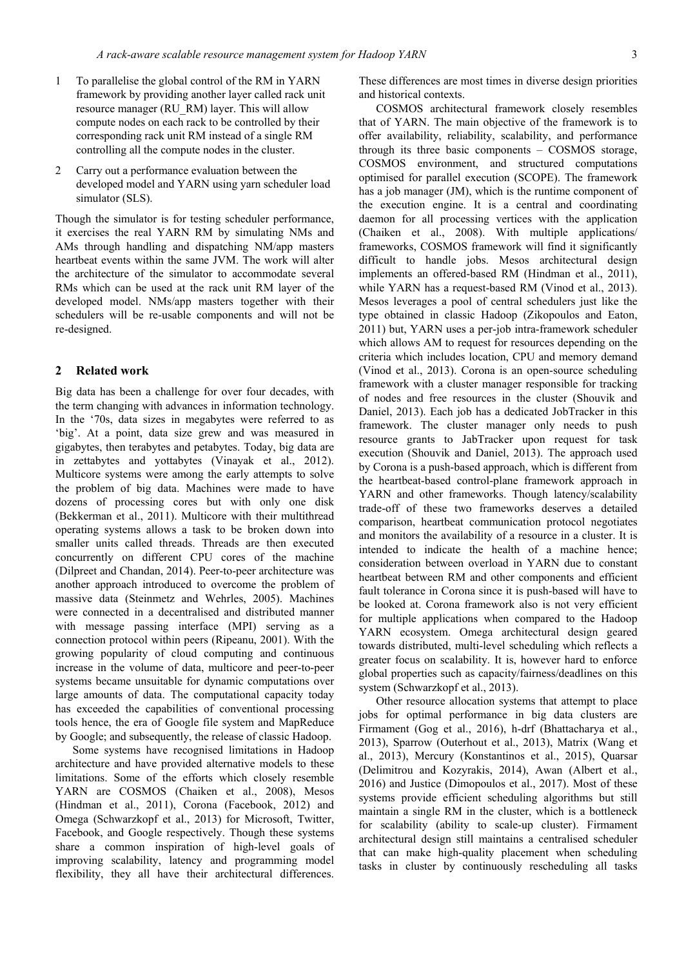- 1 To parallelise the global control of the RM in YARN framework by providing another layer called rack unit resource manager (RU\_RM) layer. This will allow compute nodes on each rack to be controlled by their corresponding rack unit RM instead of a single RM controlling all the compute nodes in the cluster.
- 2 Carry out a performance evaluation between the developed model and YARN using yarn scheduler load simulator (SLS).

Though the simulator is for testing scheduler performance, it exercises the real YARN RM by simulating NMs and AMs through handling and dispatching NM/app masters heartbeat events within the same JVM. The work will alter the architecture of the simulator to accommodate several RMs which can be used at the rack unit RM layer of the developed model. NMs/app masters together with their schedulers will be re-usable components and will not be re-designed.

# **2 Related work**

Big data has been a challenge for over four decades, with the term changing with advances in information technology. In the '70s, data sizes in megabytes were referred to as 'big'. At a point, data size grew and was measured in gigabytes, then terabytes and petabytes. Today, big data are in zettabytes and yottabytes (Vinayak et al., 2012). Multicore systems were among the early attempts to solve the problem of big data. Machines were made to have dozens of processing cores but with only one disk (Bekkerman et al., 2011). Multicore with their multithread operating systems allows a task to be broken down into smaller units called threads. Threads are then executed concurrently on different CPU cores of the machine (Dilpreet and Chandan, 2014). Peer-to-peer architecture was another approach introduced to overcome the problem of massive data (Steinmetz and Wehrles, 2005). Machines were connected in a decentralised and distributed manner with message passing interface (MPI) serving as a connection protocol within peers (Ripeanu, 2001). With the growing popularity of cloud computing and continuous increase in the volume of data, multicore and peer-to-peer systems became unsuitable for dynamic computations over large amounts of data. The computational capacity today has exceeded the capabilities of conventional processing tools hence, the era of Google file system and MapReduce by Google; and subsequently, the release of classic Hadoop.

Some systems have recognised limitations in Hadoop architecture and have provided alternative models to these limitations. Some of the efforts which closely resemble YARN are COSMOS (Chaiken et al., 2008), Mesos (Hindman et al., 2011), Corona (Facebook, 2012) and Omega (Schwarzkopf et al., 2013) for Microsoft, Twitter, Facebook, and Google respectively. Though these systems share a common inspiration of high-level goals of improving scalability, latency and programming model flexibility, they all have their architectural differences.

These differences are most times in diverse design priorities and historical contexts.

COSMOS architectural framework closely resembles that of YARN. The main objective of the framework is to offer availability, reliability, scalability, and performance through its three basic components – COSMOS storage, COSMOS environment, and structured computations optimised for parallel execution (SCOPE). The framework has a job manager (JM), which is the runtime component of the execution engine. It is a central and coordinating daemon for all processing vertices with the application (Chaiken et al., 2008). With multiple applications/ frameworks, COSMOS framework will find it significantly difficult to handle jobs. Mesos architectural design implements an offered-based RM (Hindman et al., 2011), while YARN has a request-based RM (Vinod et al., 2013). Mesos leverages a pool of central schedulers just like the type obtained in classic Hadoop (Zikopoulos and Eaton, 2011) but, YARN uses a per-job intra-framework scheduler which allows AM to request for resources depending on the criteria which includes location, CPU and memory demand (Vinod et al., 2013). Corona is an open-source scheduling framework with a cluster manager responsible for tracking of nodes and free resources in the cluster (Shouvik and Daniel, 2013). Each job has a dedicated JobTracker in this framework. The cluster manager only needs to push resource grants to JabTracker upon request for task execution (Shouvik and Daniel, 2013). The approach used by Corona is a push-based approach, which is different from the heartbeat-based control-plane framework approach in YARN and other frameworks. Though latency/scalability trade-off of these two frameworks deserves a detailed comparison, heartbeat communication protocol negotiates and monitors the availability of a resource in a cluster. It is intended to indicate the health of a machine hence; consideration between overload in YARN due to constant heartbeat between RM and other components and efficient fault tolerance in Corona since it is push-based will have to be looked at. Corona framework also is not very efficient for multiple applications when compared to the Hadoop YARN ecosystem. Omega architectural design geared towards distributed, multi-level scheduling which reflects a greater focus on scalability. It is, however hard to enforce global properties such as capacity/fairness/deadlines on this system (Schwarzkopf et al., 2013).

Other resource allocation systems that attempt to place jobs for optimal performance in big data clusters are Firmament (Gog et al., 2016), h-drf (Bhattacharya et al., 2013), Sparrow (Outerhout et al., 2013), Matrix (Wang et al., 2013), Mercury (Konstantinos et al., 2015), Quarsar (Delimitrou and Kozyrakis, 2014), Awan (Albert et al., 2016) and Justice (Dimopoulos et al., 2017). Most of these systems provide efficient scheduling algorithms but still maintain a single RM in the cluster, which is a bottleneck for scalability (ability to scale-up cluster). Firmament architectural design still maintains a centralised scheduler that can make high-quality placement when scheduling tasks in cluster by continuously rescheduling all tasks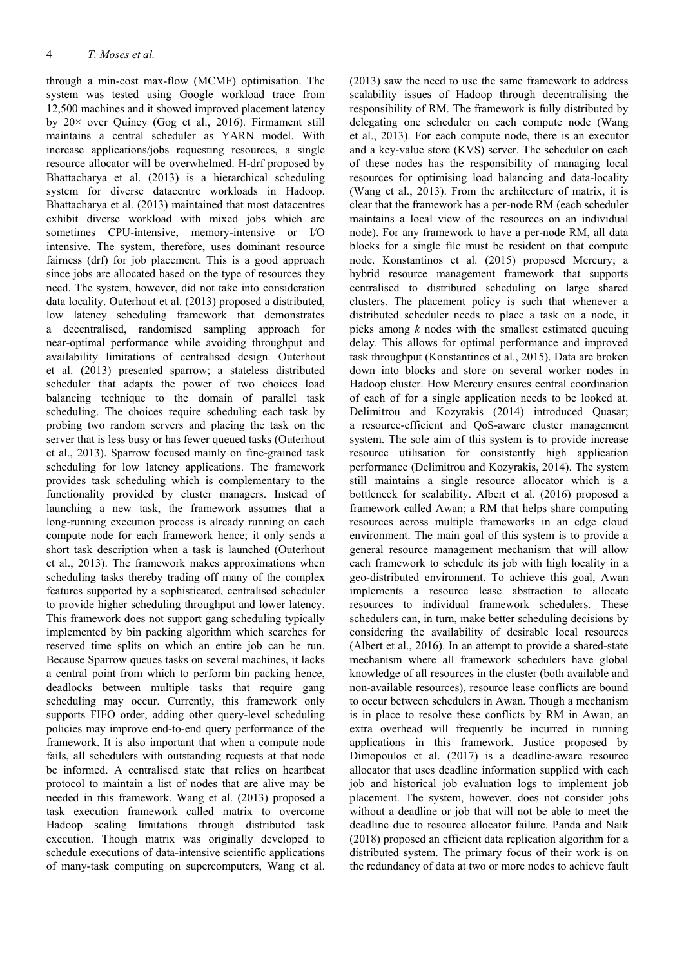through a min-cost max-flow (MCMF) optimisation. The system was tested using Google workload trace from 12,500 machines and it showed improved placement latency by 20× over Quincy (Gog et al., 2016). Firmament still maintains a central scheduler as YARN model. With increase applications/jobs requesting resources, a single resource allocator will be overwhelmed. H-drf proposed by Bhattacharya et al. (2013) is a hierarchical scheduling system for diverse datacentre workloads in Hadoop. Bhattacharya et al. (2013) maintained that most datacentres exhibit diverse workload with mixed jobs which are sometimes CPU-intensive, memory-intensive or I/O intensive. The system, therefore, uses dominant resource fairness (drf) for job placement. This is a good approach since jobs are allocated based on the type of resources they need. The system, however, did not take into consideration data locality. Outerhout et al. (2013) proposed a distributed, low latency scheduling framework that demonstrates a decentralised, randomised sampling approach for near-optimal performance while avoiding throughput and availability limitations of centralised design. Outerhout et al. (2013) presented sparrow; a stateless distributed scheduler that adapts the power of two choices load balancing technique to the domain of parallel task scheduling. The choices require scheduling each task by probing two random servers and placing the task on the server that is less busy or has fewer queued tasks (Outerhout et al., 2013). Sparrow focused mainly on fine-grained task scheduling for low latency applications. The framework provides task scheduling which is complementary to the functionality provided by cluster managers. Instead of launching a new task, the framework assumes that a long-running execution process is already running on each compute node for each framework hence; it only sends a short task description when a task is launched (Outerhout et al., 2013). The framework makes approximations when scheduling tasks thereby trading off many of the complex features supported by a sophisticated, centralised scheduler to provide higher scheduling throughput and lower latency. This framework does not support gang scheduling typically implemented by bin packing algorithm which searches for reserved time splits on which an entire job can be run. Because Sparrow queues tasks on several machines, it lacks a central point from which to perform bin packing hence, deadlocks between multiple tasks that require gang scheduling may occur. Currently, this framework only supports FIFO order, adding other query-level scheduling policies may improve end-to-end query performance of the framework. It is also important that when a compute node fails, all schedulers with outstanding requests at that node be informed. A centralised state that relies on heartbeat protocol to maintain a list of nodes that are alive may be needed in this framework. Wang et al. (2013) proposed a task execution framework called matrix to overcome Hadoop scaling limitations through distributed task execution. Though matrix was originally developed to schedule executions of data-intensive scientific applications of many-task computing on supercomputers, Wang et al. (2013) saw the need to use the same framework to address scalability issues of Hadoop through decentralising the responsibility of RM. The framework is fully distributed by delegating one scheduler on each compute node (Wang et al., 2013). For each compute node, there is an executor and a key-value store (KVS) server. The scheduler on each of these nodes has the responsibility of managing local resources for optimising load balancing and data-locality (Wang et al., 2013). From the architecture of matrix, it is clear that the framework has a per-node RM (each scheduler maintains a local view of the resources on an individual node). For any framework to have a per-node RM, all data blocks for a single file must be resident on that compute node. Konstantinos et al. (2015) proposed Mercury; a hybrid resource management framework that supports centralised to distributed scheduling on large shared clusters. The placement policy is such that whenever a distributed scheduler needs to place a task on a node, it picks among *k* nodes with the smallest estimated queuing delay. This allows for optimal performance and improved task throughput (Konstantinos et al., 2015). Data are broken down into blocks and store on several worker nodes in Hadoop cluster. How Mercury ensures central coordination of each of for a single application needs to be looked at. Delimitrou and Kozyrakis (2014) introduced Quasar; a resource-efficient and QoS-aware cluster management system. The sole aim of this system is to provide increase resource utilisation for consistently high application performance (Delimitrou and Kozyrakis, 2014). The system still maintains a single resource allocator which is a bottleneck for scalability. Albert et al. (2016) proposed a framework called Awan; a RM that helps share computing resources across multiple frameworks in an edge cloud environment. The main goal of this system is to provide a general resource management mechanism that will allow each framework to schedule its job with high locality in a geo-distributed environment. To achieve this goal, Awan implements a resource lease abstraction to allocate resources to individual framework schedulers. These schedulers can, in turn, make better scheduling decisions by considering the availability of desirable local resources (Albert et al., 2016). In an attempt to provide a shared-state mechanism where all framework schedulers have global knowledge of all resources in the cluster (both available and non-available resources), resource lease conflicts are bound to occur between schedulers in Awan. Though a mechanism is in place to resolve these conflicts by RM in Awan, an extra overhead will frequently be incurred in running applications in this framework. Justice proposed by Dimopoulos et al. (2017) is a deadline-aware resource allocator that uses deadline information supplied with each job and historical job evaluation logs to implement job placement. The system, however, does not consider jobs without a deadline or job that will not be able to meet the deadline due to resource allocator failure. Panda and Naik (2018) proposed an efficient data replication algorithm for a distributed system. The primary focus of their work is on the redundancy of data at two or more nodes to achieve fault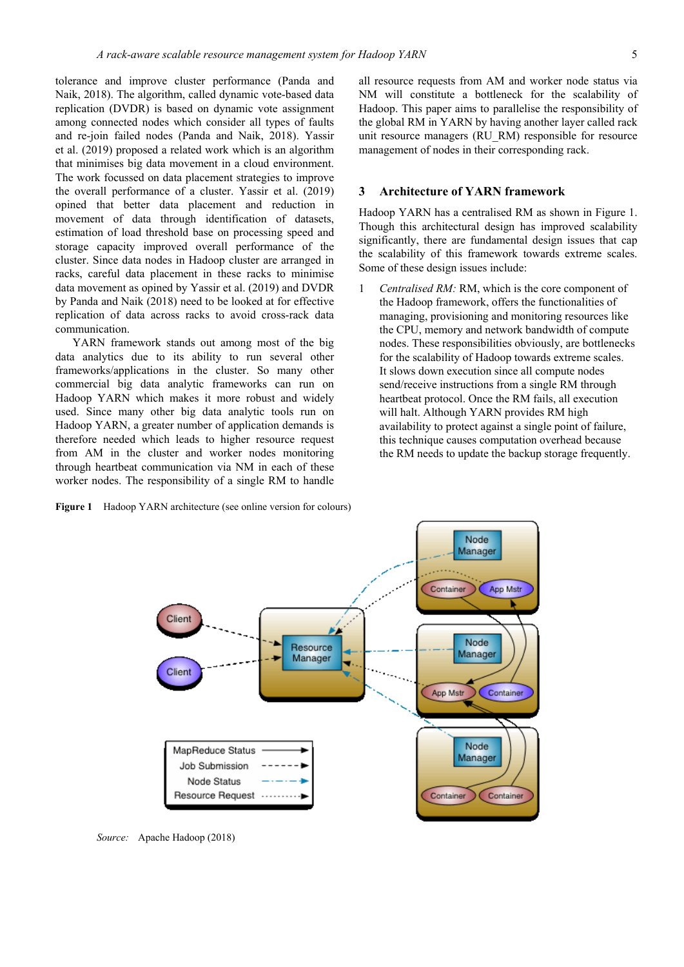tolerance and improve cluster performance (Panda and Naik, 2018). The algorithm, called dynamic vote-based data replication (DVDR) is based on dynamic vote assignment among connected nodes which consider all types of faults and re-join failed nodes (Panda and Naik, 2018). Yassir et al. (2019) proposed a related work which is an algorithm that minimises big data movement in a cloud environment. The work focussed on data placement strategies to improve the overall performance of a cluster. Yassir et al. (2019) opined that better data placement and reduction in movement of data through identification of datasets, estimation of load threshold base on processing speed and storage capacity improved overall performance of the cluster. Since data nodes in Hadoop cluster are arranged in racks, careful data placement in these racks to minimise data movement as opined by Yassir et al. (2019) and DVDR by Panda and Naik (2018) need to be looked at for effective replication of data across racks to avoid cross-rack data communication.

YARN framework stands out among most of the big data analytics due to its ability to run several other frameworks/applications in the cluster. So many other commercial big data analytic frameworks can run on Hadoop YARN which makes it more robust and widely used. Since many other big data analytic tools run on Hadoop YARN, a greater number of application demands is therefore needed which leads to higher resource request from AM in the cluster and worker nodes monitoring through heartbeat communication via NM in each of these worker nodes. The responsibility of a single RM to handle

Figure 1 Hadoop YARN architecture (see online version for colours)

all resource requests from AM and worker node status via NM will constitute a bottleneck for the scalability of Hadoop. This paper aims to parallelise the responsibility of the global RM in YARN by having another layer called rack unit resource managers (RU\_RM) responsible for resource management of nodes in their corresponding rack.

## **3 Architecture of YARN framework**

Hadoop YARN has a centralised RM as shown in Figure 1. Though this architectural design has improved scalability significantly, there are fundamental design issues that cap the scalability of this framework towards extreme scales. Some of these design issues include:

1 *Centralised RM:* RM, which is the core component of the Hadoop framework, offers the functionalities of managing, provisioning and monitoring resources like the CPU, memory and network bandwidth of compute nodes. These responsibilities obviously, are bottlenecks for the scalability of Hadoop towards extreme scales. It slows down execution since all compute nodes send/receive instructions from a single RM through heartbeat protocol. Once the RM fails, all execution will halt. Although YARN provides RM high availability to protect against a single point of failure, this technique causes computation overhead because the RM needs to update the backup storage frequently.



*Source:* Apache Hadoop (2018)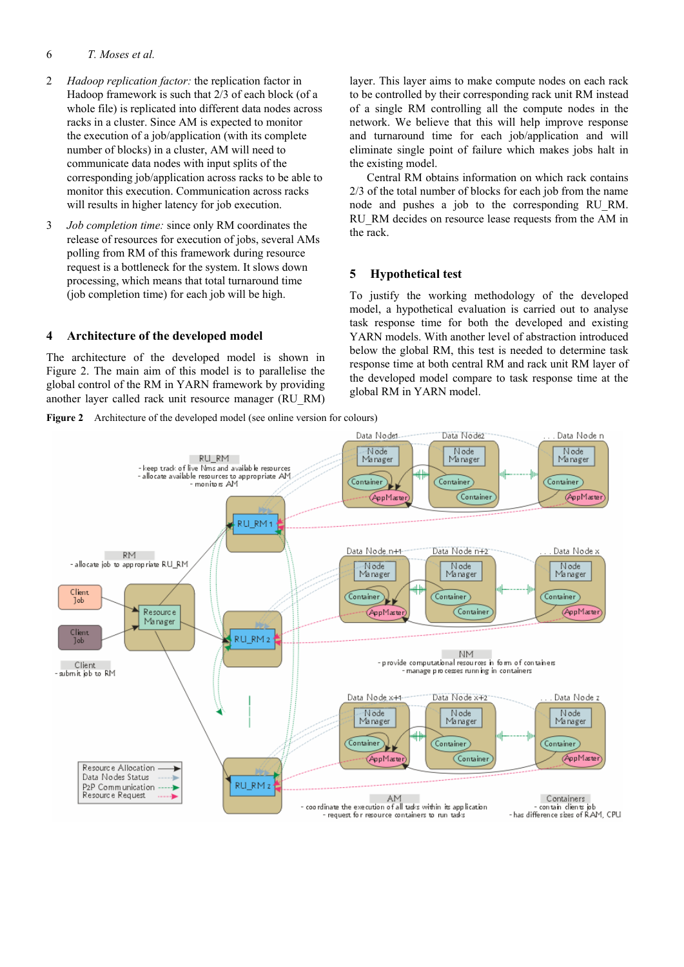# 6 *T. Moses et al.*

- 2 *Hadoop replication factor:* the replication factor in Hadoop framework is such that 2/3 of each block (of a whole file) is replicated into different data nodes across racks in a cluster. Since AM is expected to monitor the execution of a job/application (with its complete number of blocks) in a cluster, AM will need to communicate data nodes with input splits of the corresponding job/application across racks to be able to monitor this execution. Communication across racks will results in higher latency for job execution.
- 3 *Job completion time:* since only RM coordinates the release of resources for execution of jobs, several AMs polling from RM of this framework during resource request is a bottleneck for the system. It slows down processing, which means that total turnaround time (job completion time) for each job will be high.

# **4 Architecture of the developed model**

The architecture of the developed model is shown in Figure 2. The main aim of this model is to parallelise the global control of the RM in YARN framework by providing another layer called rack unit resource manager (RU\_RM) layer. This layer aims to make compute nodes on each rack to be controlled by their corresponding rack unit RM instead of a single RM controlling all the compute nodes in the network. We believe that this will help improve response and turnaround time for each job/application and will eliminate single point of failure which makes jobs halt in the existing model.

Central RM obtains information on which rack contains 2/3 of the total number of blocks for each job from the name node and pushes a job to the corresponding RU\_RM. RU\_RM decides on resource lease requests from the AM in the rack.

# **5 Hypothetical test**

To justify the working methodology of the developed model, a hypothetical evaluation is carried out to analyse task response time for both the developed and existing YARN models. With another level of abstraction introduced below the global RM, this test is needed to determine task response time at both central RM and rack unit RM layer of the developed model compare to task response time at the global RM in YARN model.

**Figure 2** Architecture of the developed model (see online version for colours)

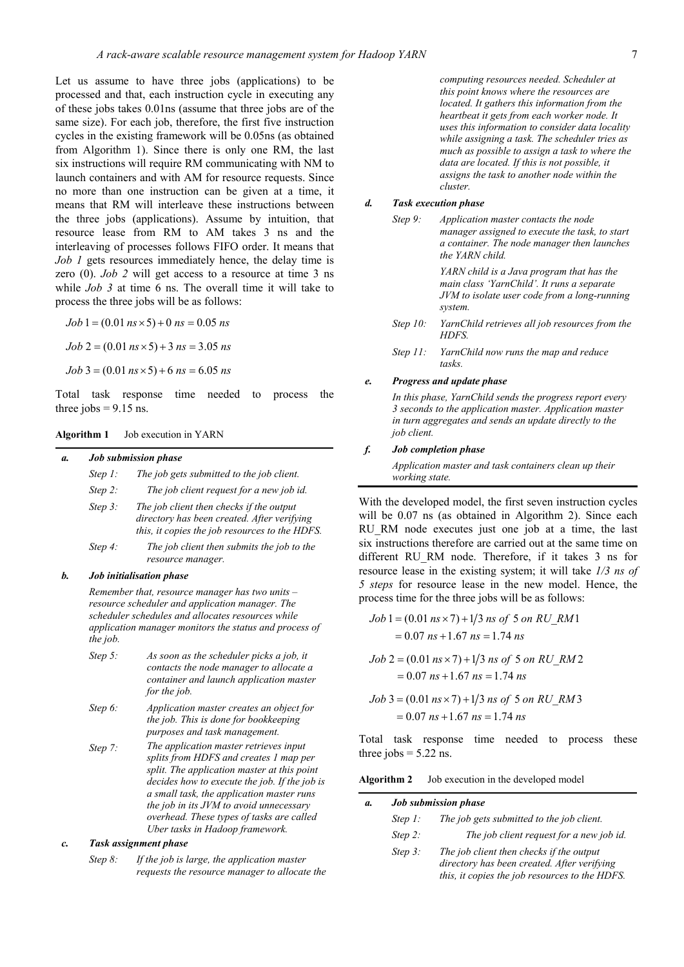Let us assume to have three jobs (applications) to be processed and that, each instruction cycle in executing any of these jobs takes 0.01ns (assume that three jobs are of the same size). For each job, therefore, the first five instruction cycles in the existing framework will be 0.05ns (as obtained from Algorithm 1). Since there is only one RM, the last six instructions will require RM communicating with NM to launch containers and with AM for resource requests. Since no more than one instruction can be given at a time, it means that RM will interleave these instructions between the three jobs (applications). Assume by intuition, that resource lease from RM to AM takes 3 ns and the interleaving of processes follows FIFO order. It means that *Job 1* gets resources immediately hence, the delay time is zero (0). *Job 2* will get access to a resource at time 3 ns while *Job 3* at time 6 ns. The overall time it will take to process the three jobs will be as follows:

$$
Job 1 = (0.01 ns \times 5) + 0 ns = 0.05 ns
$$

 $Job 2 = (0.01 \text{ ns} \times 5) + 3 \text{ ns} = 3.05 \text{ ns}$ 

 $Job 3 = (0.01 \text{ ns} \times 5) + 6 \text{ ns} = 6.05 \text{ ns}$ 

Total task response time needed to process the three jobs  $= 9.15$  ns.

#### **Algorithm 1** Job execution in YARN

| а. |            | Job submission phase                                                                                                                      |  |  |  |  |
|----|------------|-------------------------------------------------------------------------------------------------------------------------------------------|--|--|--|--|
|    | Step 1:    | The job gets submitted to the job client.                                                                                                 |  |  |  |  |
|    | Step 2:    | The job client request for a new job id.                                                                                                  |  |  |  |  |
|    | Step $3$ : | The job client then checks if the output<br>directory has been created. After verifying<br>this, it copies the job resources to the HDFS. |  |  |  |  |
|    | Step 4:    | The job client then submits the job to the<br>resource manager.                                                                           |  |  |  |  |

#### *b. Job initialisation phase*

*Remember that, resource manager has two units – resource scheduler and application manager. The scheduler schedules and allocates resources while application manager monitors the status and process of the job.* 

- *Step 5: As soon as the scheduler picks a job, it contacts the node manager to allocate a container and launch application master for the job.*
- *Step 6: Application master creates an object for the job. This is done for bookkeeping purposes and task management.*
- *Step 7: The application master retrieves input splits from HDFS and creates 1 map per split. The application master at this point decides how to execute the job. If the job is a small task, the application master runs the job in its JVM to avoid unnecessary overhead. These types of tasks are called Uber tasks in Hadoop framework.*

#### *c. Task assignment phase*

 *Step 8: If the job is large, the application master requests the resource manager to allocate the*  *computing resources needed. Scheduler at this point knows where the resources are located. It gathers this information from the heartbeat it gets from each worker node. It uses this information to consider data locality while assigning a task. The scheduler tries as much as possible to assign a task to where the data are located. If this is not possible, it assigns the task to another node within the cluster.* 

#### *d. Task execution phase*

 *Step 9: Application master contacts the node manager assigned to execute the task, to start a container. The node manager then launches the YARN child.* 

> *YARN child is a Java program that has the main class 'YarnChild'. It runs a separate JVM to isolate user code from a long-running system.*

- *Step 10: YarnChild retrieves all job resources from the HDFS.*
- *Step 11: YarnChild now runs the map and reduce tasks.*

#### *e. Progress and update phase*

*In this phase, YarnChild sends the progress report every 3 seconds to the application master. Application master in turn aggregates and sends an update directly to the job client.* 

### *f. Job completion phase*

*Application master and task containers clean up their working state.* 

With the developed model, the first seven instruction cycles will be  $0.07$  ns (as obtained in Algorithm 2). Since each RU\_RM node executes just one job at a time, the last six instructions therefore are carried out at the same time on different RU\_RM node. Therefore, if it takes 3 ns for resource lease in the existing system; it will take *1/3 ns of 5 steps* for resource lease in the new model. Hence, the process time for the three jobs will be as follows:

$$
Job 1 = (0.01 ns \times 7) + 1/3 ns of 5 on RU_RM1
$$
  
= 0.07 ns + 1.67 ns = 1.74 ns

 $Job 2 = (0.01 \text{ ns} \times 7) + 1/3 \text{ ns of } 5 \text{ on } RU\_RM2$  $= 0.07$  ns  $+ 1.67$  ns  $= 1.74$  ns

$$
Job 3 = (0.01 ns \times 7) + 1/3 ns of 5 on RU_RM3
$$
  
= 0.07 ns + 1.67 ns = 1.74 ns

Total task response time needed to process these three jobs  $= 5.22$  ns.

| Algorithm 2 | Job execution in the developed model |  |  |
|-------------|--------------------------------------|--|--|
|-------------|--------------------------------------|--|--|

| <i>a</i> . | <b>Job submission phase</b> |                                                                                                                                           |  |  |  |
|------------|-----------------------------|-------------------------------------------------------------------------------------------------------------------------------------------|--|--|--|
|            | Step 1:                     | The job gets submitted to the job client.                                                                                                 |  |  |  |
|            | Step 2:                     | The job client request for a new job id.                                                                                                  |  |  |  |
|            | Step $3$ :                  | The job client then checks if the output<br>directory has been created. After verifying<br>this, it copies the job resources to the HDFS. |  |  |  |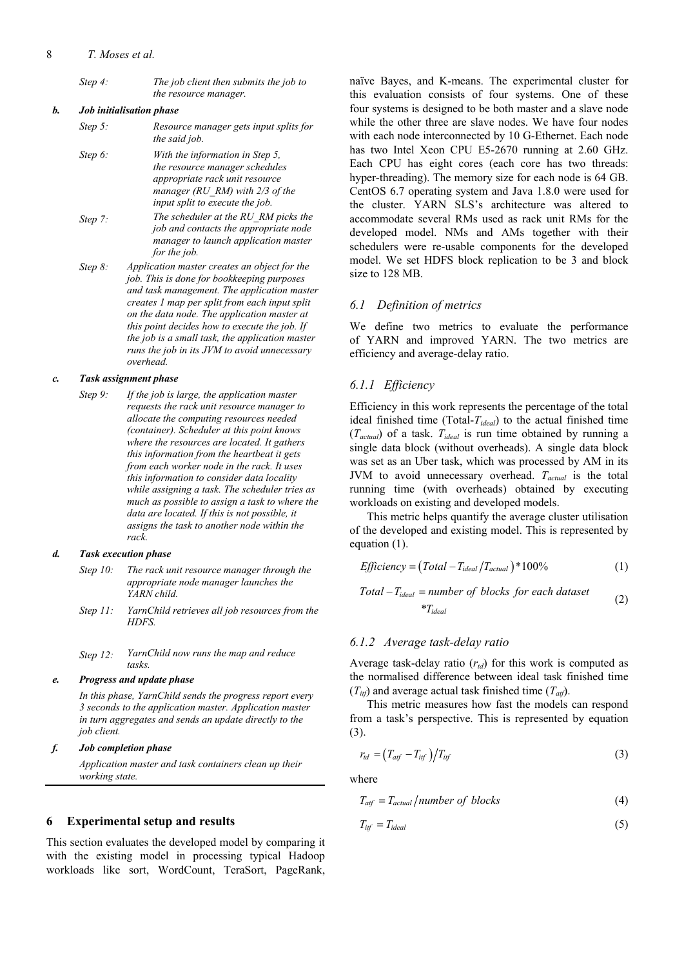| Step 4: | The job client then submits the job to |
|---------|----------------------------------------|
|         | the resource manager.                  |

#### *b. Job initialisation phase*

| Step $5$ : | Resource manager gets input splits for<br>the said job.                                                                                                                   |
|------------|---------------------------------------------------------------------------------------------------------------------------------------------------------------------------|
| Step $6$ : | With the information in Step 5,<br>the resource manager schedules<br>appropriate rack unit resource<br>manager (RU RM) with 2/3 of the<br>input split to execute the job. |
|            | $TL = -L - L - L - L = -L + L - D L L - D L L - L - L - L$                                                                                                                |

- *Step 7: The scheduler at the RU\_RM picks the job and contacts the appropriate node manager to launch application master for the job.*
- *Step 8: Application master creates an object for the job. This is done for bookkeeping purposes and task management. The application master creates 1 map per split from each input split on the data node. The application master at this point decides how to execute the job. If the job is a small task, the application master runs the job in its JVM to avoid unnecessary overhead.*

### *c. Task assignment phase*

 *Step 9: If the job is large, the application master requests the rack unit resource manager to allocate the computing resources needed (container). Scheduler at this point knows where the resources are located. It gathers this information from the heartbeat it gets from each worker node in the rack. It uses this information to consider data locality while assigning a task. The scheduler tries as much as possible to assign a task to where the data are located. If this is not possible, it assigns the task to another node within the rack.* 

## *d. Task execution phase*

- *Step 10: The rack unit resource manager through the appropriate node manager launches the YARN child.*
- *Step 11: YarnChild retrieves all job resources from the HDFS.*

 *Step 12: YarnChild now runs the map and reduce tasks.* 

#### *e. Progress and update phase*

*In this phase, YarnChild sends the progress report every 3 seconds to the application master. Application master in turn aggregates and sends an update directly to the job client.* 

### *f. Job completion phase*

*Application master and task containers clean up their working state.* 

# **6 Experimental setup and results**

This section evaluates the developed model by comparing it with the existing model in processing typical Hadoop workloads like sort, WordCount, TeraSort, PageRank,

naïve Bayes, and K-means. The experimental cluster for this evaluation consists of four systems. One of these four systems is designed to be both master and a slave node while the other three are slave nodes. We have four nodes with each node interconnected by 10 G-Ethernet. Each node has two Intel Xeon CPU E5-2670 running at 2.60 GHz. Each CPU has eight cores (each core has two threads: hyper-threading). The memory size for each node is 64 GB. CentOS 6.7 operating system and Java 1.8.0 were used for the cluster. YARN SLS's architecture was altered to accommodate several RMs used as rack unit RMs for the developed model. NMs and AMs together with their schedulers were re-usable components for the developed model. We set HDFS block replication to be 3 and block size to 128 MB.

## *6.1 Definition of metrics*

We define two metrics to evaluate the performance of YARN and improved YARN. The two metrics are efficiency and average-delay ratio.

### *6.1.1 Efficiency*

Efficiency in this work represents the percentage of the total ideal finished time (Total-*Tideal*) to the actual finished time (*Tactual*) of a task. *Tideal* is run time obtained by running a single data block (without overheads). A single data block was set as an Uber task, which was processed by AM in its JVM to avoid unnecessary overhead. *Tactual* is the total running time (with overheads) obtained by executing workloads on existing and developed models.

This metric helps quantify the average cluster utilisation of the developed and existing model. This is represented by equation (1).

$$
Efficiency = (Total - T_{ideal} / T_{actual}) * 100\%
$$
 (1)

$$
Total - Tideal = number of blocks for each dataset
$$
  
\*
$$
Tideal
$$
 (2)

### *6.1.2 Average task-delay ratio*

Average task-delay ratio  $(r_{td})$  for this work is computed as the normalised difference between ideal task finished time  $(T_{itf})$  and average actual task finished time  $(T_{atf})$ .

This metric measures how fast the models can respond from a task's perspective. This is represented by equation (3).

$$
r_{td} = \left(T_{atf} - T_{itf}\right) / T_{itf} \tag{3}
$$

where

$$
T_{\text{aff}} = T_{\text{actual}} / \text{number of blocks} \tag{4}
$$

$$
T_{\text{if}} = T_{\text{ideal}} \tag{5}
$$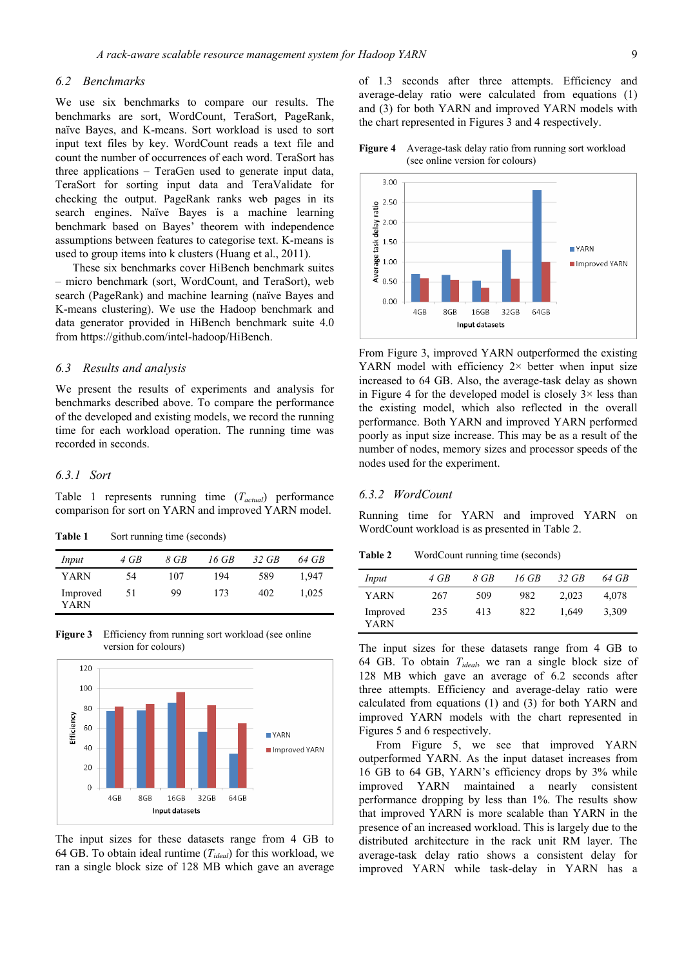## *6.2 Benchmarks*

We use six benchmarks to compare our results. The benchmarks are sort, WordCount, TeraSort, PageRank, naïve Bayes, and K-means. Sort workload is used to sort input text files by key. WordCount reads a text file and count the number of occurrences of each word. TeraSort has three applications – TeraGen used to generate input data, TeraSort for sorting input data and TeraValidate for checking the output. PageRank ranks web pages in its search engines. Naïve Bayes is a machine learning benchmark based on Bayes' theorem with independence assumptions between features to categorise text. K-means is used to group items into k clusters (Huang et al., 2011).

These six benchmarks cover HiBench benchmark suites – micro benchmark (sort, WordCount, and TeraSort), web search (PageRank) and machine learning (naïve Bayes and K-means clustering). We use the Hadoop benchmark and data generator provided in HiBench benchmark suite 4.0 from https://github.com/intel-hadoop/HiBench.

### *6.3 Results and analysis*

We present the results of experiments and analysis for benchmarks described above. To compare the performance of the developed and existing models, we record the running time for each workload operation. The running time was recorded in seconds.

# *6.3.1 Sort*

Table 1 represents running time (*Tactual*) performance comparison for sort on YARN and improved YARN model.

Table 1 Sort running time (seconds)

| Input            | 4 GB | 8 GB | 16 GB | 32 GB | 64 GB |
|------------------|------|------|-------|-------|-------|
| YARN             | 54   | 107  | 194   | 589   | 1.947 |
| Improved<br>YARN | 51   | 99   | 173   | 402   | 1,025 |

Figure 3 Efficiency from running sort workload (see online version for colours)



The input sizes for these datasets range from 4 GB to 64 GB. To obtain ideal runtime (*Tideal*) for this workload, we ran a single block size of 128 MB which gave an average

of 1.3 seconds after three attempts. Efficiency and average-delay ratio were calculated from equations (1) and (3) for both YARN and improved YARN models with the chart represented in Figures 3 and 4 respectively.

**Figure 4** Average-task delay ratio from running sort workload (see online version for colours)



From Figure 3, improved YARN outperformed the existing YARN model with efficiency  $2 \times$  better when input size increased to 64 GB. Also, the average-task delay as shown in Figure 4 for the developed model is closely  $3 \times$  less than the existing model, which also reflected in the overall performance. Both YARN and improved YARN performed poorly as input size increase. This may be as a result of the number of nodes, memory sizes and processor speeds of the nodes used for the experiment.

# *6.3.2 WordCount*

Running time for YARN and improved YARN on WordCount workload is as presented in Table 2.

**Table 2** WordCount running time (seconds)

| Input            | 4 GB | 8 GB | 16 GB | $32$ GB | 64 GB |
|------------------|------|------|-------|---------|-------|
| <b>YARN</b>      | 267  | 509  | 982   | 2.023   | 4.078 |
| Improved<br>YARN | 235  | 413  | 822   | 1.649   | 3.309 |

The input sizes for these datasets range from 4 GB to 64 GB. To obtain *Tideal*, we ran a single block size of 128 MB which gave an average of 6.2 seconds after three attempts. Efficiency and average-delay ratio were calculated from equations (1) and (3) for both YARN and improved YARN models with the chart represented in Figures 5 and 6 respectively.

From Figure 5, we see that improved YARN outperformed YARN. As the input dataset increases from 16 GB to 64 GB, YARN's efficiency drops by 3% while improved YARN maintained a nearly consistent performance dropping by less than 1%. The results show that improved YARN is more scalable than YARN in the presence of an increased workload. This is largely due to the distributed architecture in the rack unit RM layer. The average-task delay ratio shows a consistent delay for improved YARN while task-delay in YARN has a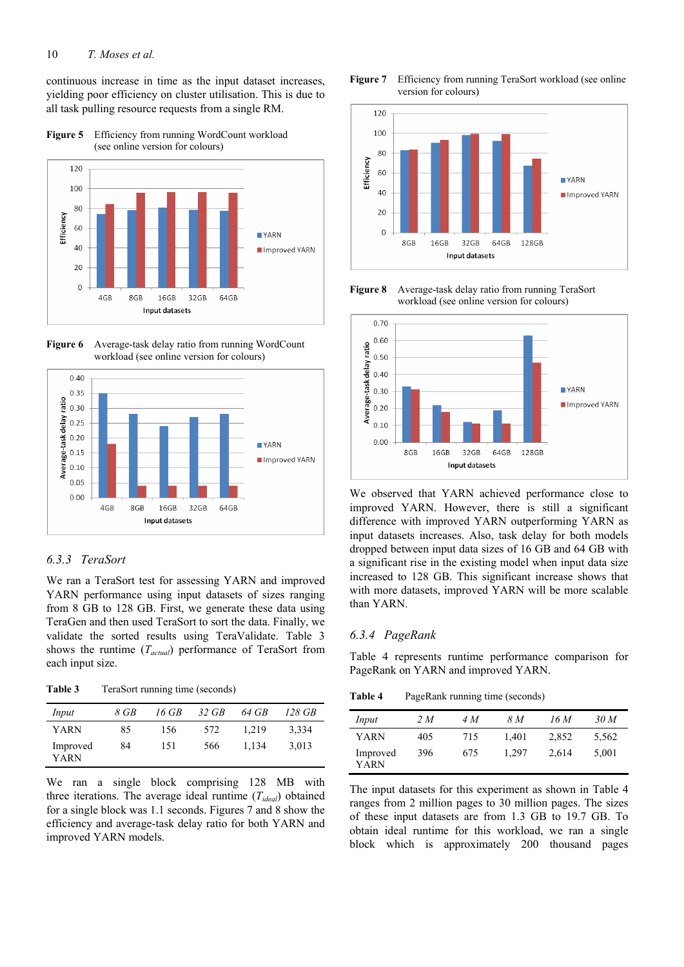continuous increase in time as the input dataset increases, yielding poor efficiency on cluster utilisation. This is due to all task pulling resource requests from a single RM.

**Figure 5** Efficiency from running WordCount workload (see online version for colours)







# *6.3.3 TeraSort*

We ran a TeraSort test for assessing YARN and improved YARN performance using input datasets of sizes ranging from 8 GB to 128 GB. First, we generate these data using TeraGen and then used TeraSort to sort the data. Finally, we validate the sorted results using TeraValidate. Table 3 shows the runtime (*Tactual*) performance of TeraSort from each input size.

**Table 3** TeraSort running time (seconds)

| Input            | 8 GB | 16 GB | $32 \text{ } GB$ | 64 GB | 128 GB |
|------------------|------|-------|------------------|-------|--------|
| YARN             | 85   | 156   | 572              | 1.219 | 3,334  |
| Improved<br>YARN | 84   | 151   | 566              | 1.134 | 3,013  |

We ran a single block comprising 128 MB with three iterations. The average ideal runtime (*T<sub>ideal</sub>*) obtained for a single block was 1.1 seconds. Figures 7 and 8 show the efficiency and average-task delay ratio for both YARN and improved YARN models.

Figure 7 Efficiency from running TeraSort workload (see online version for colours)



**Figure 8** Average-task delay ratio from running TeraSort workload (see online version for colours)



We observed that YARN achieved performance close to improved YARN. However, there is still a significant difference with improved YARN outperforming YARN as input datasets increases. Also, task delay for both models dropped between input data sizes of 16 GB and 64 GB with a significant rise in the existing model when input data size increased to 128 GB. This significant increase shows that with more datasets, improved YARN will be more scalable than YARN.

# *6.3.4 PageRank*

Table 4 represents runtime performance comparison for PageRank on YARN and improved YARN.

**Table 4** PageRank running time (seconds)

| Input            | 2 M | 4 M | 8 M   | 16 M  | 30 M  |
|------------------|-----|-----|-------|-------|-------|
| YARN             | 405 | 715 | 1,401 | 2.852 | 5,562 |
| Improved<br>YARN | 396 | 675 | 1.297 | 2.614 | 5,001 |

The input datasets for this experiment as shown in Table 4 ranges from 2 million pages to 30 million pages. The sizes of these input datasets are from 1.3 GB to 19.7 GB. To obtain ideal runtime for this workload, we ran a single block which is approximately 200 thousand pages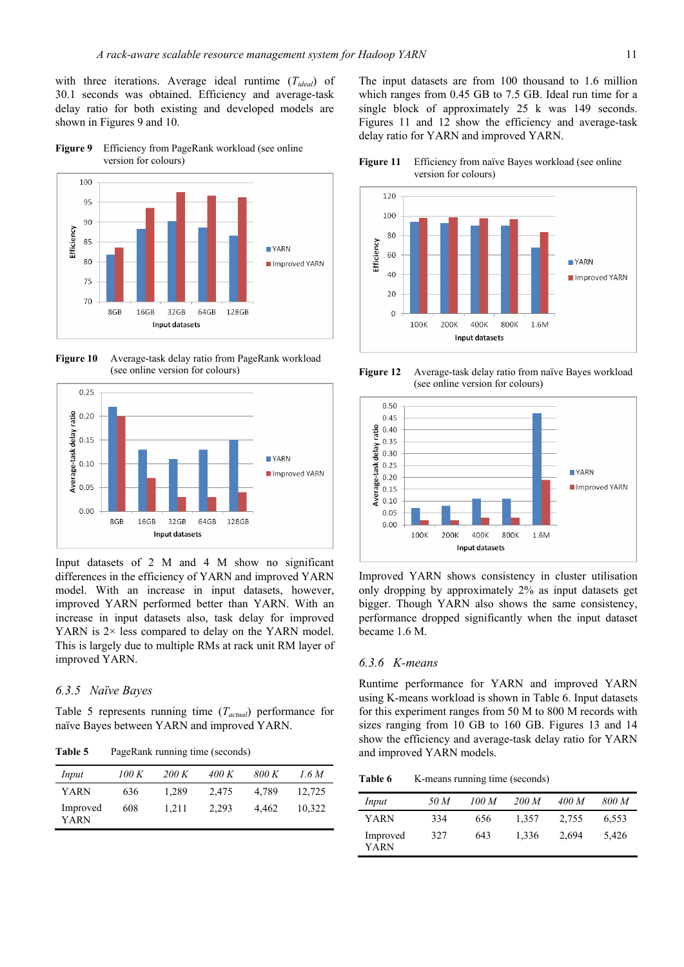with three iterations. Average ideal runtime (*Tideal*) of 30.1 seconds was obtained. Efficiency and average-task delay ratio for both existing and developed models are shown in Figures 9 and 10.

**Figure 9** Efficiency from PageRank workload (see online version for colours)



**Figure 10** Average-task delay ratio from PageRank workload (see online version for colours)



Input datasets of 2 M and 4 M show no significant differences in the efficiency of YARN and improved YARN model. With an increase in input datasets, however, improved YARN performed better than YARN. With an increase in input datasets also, task delay for improved YARN is  $2 \times$  less compared to delay on the YARN model. This is largely due to multiple RMs at rack unit RM layer of improved YARN.

# *6.3.5 Naïve Bayes*

Table 5 represents running time (*Tactual*) performance for naïve Bayes between YARN and improved YARN.

Table 5 PageRank running time (seconds)

| Input            | 100 K | 200 K | 400 K | 800 K | 1.6 M  |
|------------------|-------|-------|-------|-------|--------|
| YARN             | 636   | 1.289 | 2.475 | 4.789 | 12.725 |
| Improved<br>YARN | 608   | 1.211 | 2.293 | 4.462 | 10.322 |

The input datasets are from 100 thousand to 1.6 million which ranges from 0.45 GB to 7.5 GB. Ideal run time for a single block of approximately 25 k was 149 seconds. Figures 11 and 12 show the efficiency and average-task delay ratio for YARN and improved YARN.

Figure 11 Efficiency from naïve Bayes workload (see online version for colours)



**Figure 12** Average-task delay ratio from naïve Bayes workload (see online version for colours)



Improved YARN shows consistency in cluster utilisation only dropping by approximately 2% as input datasets get bigger. Though YARN also shows the same consistency, performance dropped significantly when the input dataset became 1.6 M.

## *6.3.6 K-means*

Runtime performance for YARN and improved YARN using K-means workload is shown in Table 6. Input datasets for this experiment ranges from 50 M to 800 M records with sizes ranging from 10 GB to 160 GB. Figures 13 and 14 show the efficiency and average-task delay ratio for YARN and improved YARN models.

Table 6 K-means running time (seconds)

| Input            | 50 M | 100 M | 200 M | 400 M | 800 M |
|------------------|------|-------|-------|-------|-------|
| YARN             | 334  | 656   | 1.357 | 2.755 | 6.553 |
| Improved<br>YARN | 327  | 643   | 1.336 | 2.694 | 5.426 |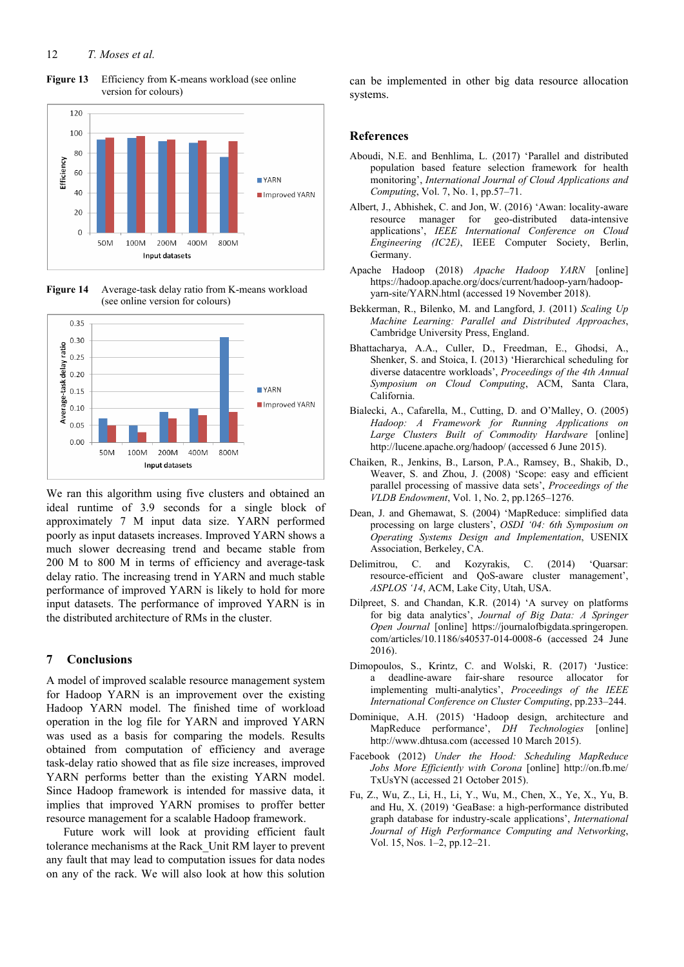

Figure 13 Efficiency from K-means workload (see online version for colours)

**Figure 14** Average-task delay ratio from K-means workload (see online version for colours)



We ran this algorithm using five clusters and obtained an ideal runtime of 3.9 seconds for a single block of approximately 7 M input data size. YARN performed poorly as input datasets increases. Improved YARN shows a much slower decreasing trend and became stable from 200 M to 800 M in terms of efficiency and average-task delay ratio. The increasing trend in YARN and much stable performance of improved YARN is likely to hold for more input datasets. The performance of improved YARN is in the distributed architecture of RMs in the cluster.

### **7 Conclusions**

A model of improved scalable resource management system for Hadoop YARN is an improvement over the existing Hadoop YARN model. The finished time of workload operation in the log file for YARN and improved YARN was used as a basis for comparing the models. Results obtained from computation of efficiency and average task-delay ratio showed that as file size increases, improved YARN performs better than the existing YARN model. Since Hadoop framework is intended for massive data, it implies that improved YARN promises to proffer better resource management for a scalable Hadoop framework.

Future work will look at providing efficient fault tolerance mechanisms at the Rack\_Unit RM layer to prevent any fault that may lead to computation issues for data nodes on any of the rack. We will also look at how this solution

can be implemented in other big data resource allocation systems.

## **References**

- Aboudi, N.E. and Benhlima, L. (2017) 'Parallel and distributed population based feature selection framework for health monitoring', *International Journal of Cloud Applications and Computing*, Vol. 7, No. 1, pp.57–71.
- Albert, J., Abhishek, C. and Jon, W. (2016) 'Awan: locality-aware resource manager for geo-distributed data-intensive applications', *IEEE International Conference on Cloud Engineering (IC2E)*, IEEE Computer Society, Berlin, Germany.
- Apache Hadoop (2018) *Apache Hadoop YARN* [online] https://hadoop.apache.org/docs/current/hadoop-yarn/hadoopyarn-site/YARN.html (accessed 19 November 2018).
- Bekkerman, R., Bilenko, M. and Langford, J. (2011) *Scaling Up Machine Learning: Parallel and Distributed Approaches*, Cambridge University Press, England.
- Bhattacharya, A.A., Culler, D., Freedman, E., Ghodsi, A., Shenker, S. and Stoica, I. (2013) 'Hierarchical scheduling for diverse datacentre workloads', *Proceedings of the 4th Annual Symposium on Cloud Computing*, ACM, Santa Clara, California.
- Bialecki, A., Cafarella, M., Cutting, D. and O'Malley, O. (2005) *Hadoop: A Framework for Running Applications on Large Clusters Built of Commodity Hardware* [online] http://lucene.apache.org/hadoop/ (accessed 6 June 2015).
- Chaiken, R., Jenkins, B., Larson, P.A., Ramsey, B., Shakib, D., Weaver, S. and Zhou, J. (2008) 'Scope: easy and efficient parallel processing of massive data sets', *Proceedings of the VLDB Endowment*, Vol. 1, No. 2, pp.1265–1276.
- Dean, J. and Ghemawat, S. (2004) 'MapReduce: simplified data processing on large clusters', *OSDI '04: 6th Symposium on Operating Systems Design and Implementation*, USENIX Association, Berkeley, CA.
- Delimitrou, C. and Kozyrakis, C. (2014) 'Quarsar: resource-efficient and QoS-aware cluster management', *ASPLOS '14*, ACM, Lake City, Utah, USA.
- Dilpreet, S. and Chandan, K.R. (2014) 'A survey on platforms for big data analytics', *Journal of Big Data: A Springer Open Journal* [online] https://journalofbigdata.springeropen. com/articles/10.1186/s40537-014-0008-6 (accessed 24 June 2016).
- Dimopoulos, S., Krintz, C. and Wolski, R. (2017) 'Justice: a deadline-aware fair-share resource allocator for implementing multi-analytics', *Proceedings of the IEEE International Conference on Cluster Computing*, pp.233–244.
- Dominique, A.H. (2015) 'Hadoop design, architecture and MapReduce performance', *DH Technologies* [online] http://www.dhtusa.com (accessed 10 March 2015).
- Facebook (2012) *Under the Hood: Scheduling MapReduce Jobs More Efficiently with Corona* [online] http://on.fb.me/ TxUsYN (accessed 21 October 2015).
- Fu, Z., Wu, Z., Li, H., Li, Y., Wu, M., Chen, X., Ye, X., Yu, B. and Hu, X. (2019) 'GeaBase: a high-performance distributed graph database for industry-scale applications', *International Journal of High Performance Computing and Networking*, Vol. 15, Nos. 1–2, pp.12–21.